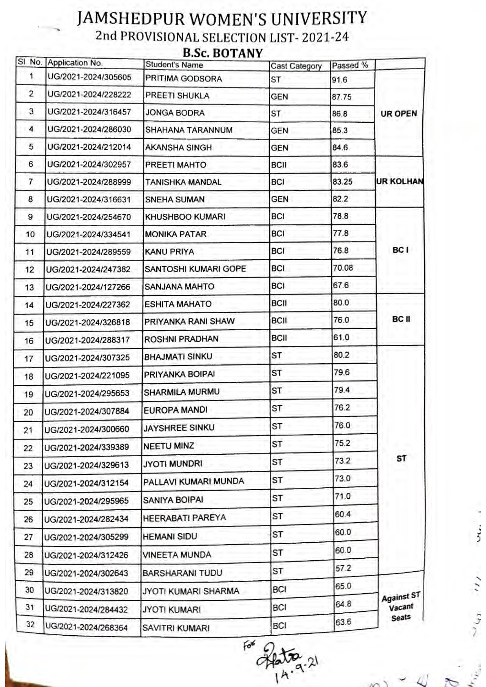## JAMSHEDPUR WOMEN'S UNIVERSITY 2nd PROVISIONAL SELECTION LIST- 2021-24 B.Sc. BOTANY

|                | SI No. Application No. | Student's Name          | <b>Cast Category</b> | Passed % |                               |
|----------------|------------------------|-------------------------|----------------------|----------|-------------------------------|
| 1.             | UG/2021-2024/305605    | PRITIMA GODSORA         | ST                   | 91.6     | UR OPEN                       |
| $\overline{2}$ | UG/2021-2024/228222    | PREETI SHUKLA           | <b>GEN</b>           | 87.75    |                               |
| 3              | UG/2021-2024/316457    | <b>JONGA BODRA</b>      | ST                   | 86.8     |                               |
| 4              | UG/2021-2024/286030    | SHAHANA TARANNUM        | GEN                  | 85.3     |                               |
| 5              | UG/2021-2024/212014    | <b>AKANSHA SINGH</b>    | <b>GEN</b>           | 84.6     |                               |
| 6              | UG/2021-2024/302957    | PREETI MAHTO            | <b>BCII</b>          | 83.6     | <b>UR KOLHAN</b>              |
| 7              | UG/2021-2024/288999    | <b>TANISHKA MANDAL</b>  | <b>BCI</b>           | 83.25    |                               |
| 8              | UG/2021-2024/316631    | <b>SNEHA SUMAN</b>      | <b>GEN</b>           | 82.2     |                               |
| 9              | UG/2021-2024/254670    | KHUSHBOO KUMARI         | <b>BCI</b>           | 78.8     | BC I                          |
| 10             | UG/2021-2024/334541    | <b>MONIKA PATAR</b>     | <b>BCI</b>           | 77.8     |                               |
| 11             | UG/2021-2024/289559    | KANU PRIYA              | <b>BCI</b>           | 76.8     |                               |
| 12             | UG/2021-2024/247382    | SANTOSHI KUMARI GOPE    | BCI                  | 70.08    |                               |
| 13             | UG/2021-2024/127266    | SANJANA MAHTO           | <b>BCI</b>           | 67.6     |                               |
| 14             | UG/2021-2024/227362    | <b>ESHITA MAHATO</b>    | <b>BCII</b>          | 80.0     | BC II                         |
| 15             | UG/2021-2024/326818    | PRIYANKA RANI SHAW      | <b>BCII</b>          | 76.0     |                               |
| 16             | UG/2021-2024/288317    | ROSHNI PRADHAN          | BCII                 | 61.0     |                               |
| 17             | UG/2021-2024/307325    | <b>BHAJMATI SINKU</b>   | ST                   | 80.2     | ST                            |
| 18             | UG/2021-2024/221095    | PRIYANKA BOIPAI         | ST                   | 79.6     |                               |
| 19             | UG/2021-2024/295653    | SHARMILA MURMU          | ST                   | 79.4     |                               |
| 20             | UG/2021-2024/307884    | <b>EUROPA MANDI</b>     | ST                   | 76.2     |                               |
| 21             | UG/2021-2024/300660    | <b>JAYSHREE SINKU</b>   | SТ                   | 76.0     |                               |
| 22             | UG/2021-2024/339389    | <b>NEETU MINZ</b>       | ST                   | 75.2     |                               |
| 23             | UG/2021-2024/329613    | <b>JYOTI MUNDRI</b>     | ST                   | 73.2     |                               |
| 24             | UG/2021-2024/312154    | PALLAVI KUMARI MUNDA    | ST                   | 73.0     |                               |
| 25             | UG/2021-2024/295965    | SANIYA BOIPAI           | ST                   | 71.0     |                               |
| 26             | UG/2021-2024/282434    | <b>HEERABATI PAREYA</b> | ST                   | 60.4     |                               |
| 27             | UG/2021-2024/305299    | <b>HEMANI SIDU</b>      | ST                   | 60.0     |                               |
| 28             |                        | VINEETA MUNDA           | ST                   | 60.0     |                               |
| 29             | UG/2021-2024/312426    |                         | ST                   | 57.2     |                               |
| 30             | UG/2021-2024/302643    | <b>BARSHARANI TUDU</b>  | BCI                  | 65.0     | Against ST<br>Vacant<br>Seats |
|                | UG/2021-2024/313820    | JYOTI KUMARI SHARMA     |                      | 64.8     |                               |
| 31             | UG/2021-2024/284432    | <b>JYOTI KUMARI</b>     | <b>BCI</b>           | 63.6     |                               |
| 32             | UG/2021-2024/268364    | SAVITRI KUMARI          | BCI                  |          |                               |

 $F<sub>0</sub>$  $\frac{1}{4}$ 

N

 $\ddot{\tilde{\zeta}}$ 

 $\overline{\cdots}$ 

 $\mathcal{L}_{\mathcal{L}_{2}}$